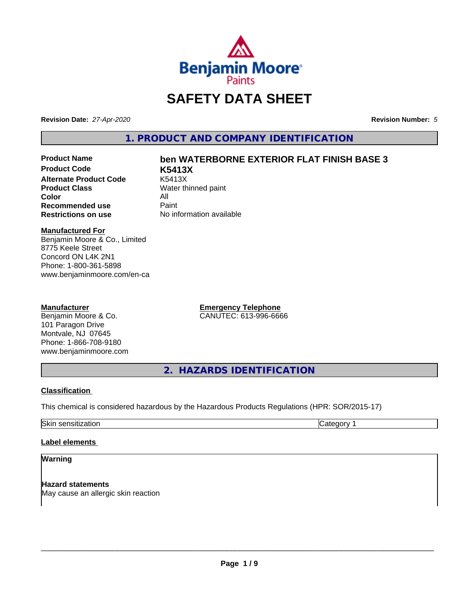

# **SAFETY DATA SHEET**

**Revision Date:** *27-Apr-2020* **Revision Number:** *5*

**1. PRODUCT AND COMPANY IDENTIFICATION**

**Product Code K5413X Alternate Product Code** K5413X<br> **Product Class** Water th **Color** All<br> **Recommended use** Paint **Recommended use**<br>Restrictions on use

# **Product Name ben WATERBORNE EXTERIOR FLAT FINISH BASE 3**

**Water thinned paint No information available** 

### **Manufactured For**

Benjamin Moore & Co., Limited 8775 Keele Street Concord ON L4K 2N1 Phone: 1-800-361-5898 www.benjaminmoore.com/en-ca

### **Manufacturer**

Benjamin Moore & Co. 101 Paragon Drive Montvale, NJ 07645 Phone: 1-866-708-9180 www.benjaminmoore.com **Emergency Telephone** CANUTEC: 613-996-6666

**2. HAZARDS IDENTIFICATION**

### **Classification**

This chemical is considered hazardous by the Hazardous Products Regulations (HPR: SOR/2015-17)

Skin sensitization **Category 1 Category 1** 

### **Label elements**

### **Warning**

**Hazard statements** May cause an allergic skin reaction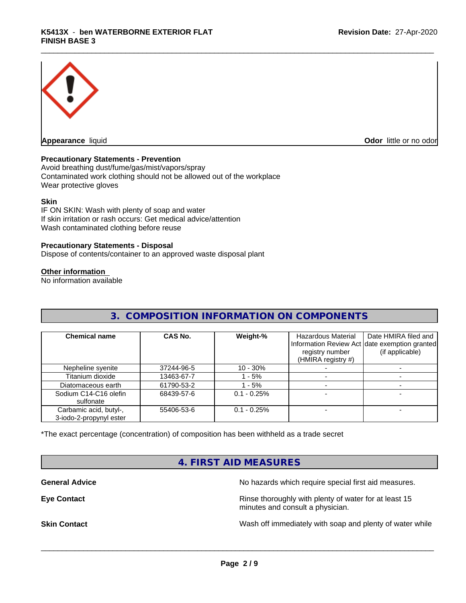

**Appearance** liquid **Odor in the original of the original of the original of the original of the original of the original of the original of the original of the original of the original of the original of the original of t** 

### **Precautionary Statements - Prevention**

Avoid breathing dust/fume/gas/mist/vapors/spray Contaminated work clothing should not be allowed out of the workplace Wear protective gloves

### **Skin**

IF ON SKIN: Wash with plenty of soap and water If skin irritation or rash occurs: Get medical advice/attention Wash contaminated clothing before reuse

### **Precautionary Statements - Disposal**

Dispose of contents/container to an approved waste disposal plant

### **Other information**

No information available

# **3. COMPOSITION INFORMATION ON COMPONENTS**

| <b>Chemical name</b>                              | CAS No.    | Weight-%      | Hazardous Material<br>registry number<br>(HMIRA registry #) | Date HMIRA filed and<br>Information Review Act date exemption granted<br>(if applicable) |
|---------------------------------------------------|------------|---------------|-------------------------------------------------------------|------------------------------------------------------------------------------------------|
| Nepheline syenite                                 | 37244-96-5 | $10 - 30\%$   |                                                             |                                                                                          |
| Titanium dioxide                                  | 13463-67-7 | - 5%          |                                                             |                                                                                          |
| Diatomaceous earth                                | 61790-53-2 | $-5%$         |                                                             |                                                                                          |
| Sodium C14-C16 olefin<br>sulfonate                | 68439-57-6 | $0.1 - 0.25%$ |                                                             |                                                                                          |
| Carbamic acid, butyl-,<br>3-iodo-2-propynyl ester | 55406-53-6 | $0.1 - 0.25%$ |                                                             |                                                                                          |

\*The exact percentage (concentration) of composition has been withheld as a trade secret

## **4. FIRST AID MEASURES**

**General Advice** No hazards which require special first aid measures.

**Eye Contact Exercise 2.1 All 2.5 All 2.5 All 2.6 All 2.6 All 2.6 All 2.6 All 2.6 All 2.6 All 2.6 All 2.6 All 2.6 All 2.6 All 2.6 All 2.6 All 2.6 All 2.6 All 2.6 All 2.6 All 2.6 All 2.6 All 2.6 All 2.6 All 2.6 All 2.6 Al** minutes and consult a physician.

**Skin Contact** Same of the Mash off immediately with soap and plenty of water while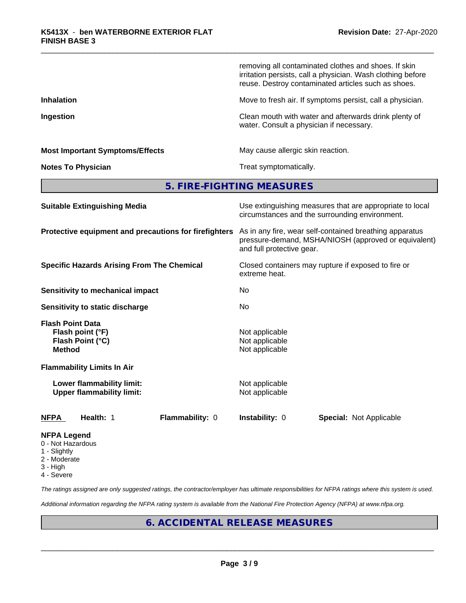|                                                                                  | removing all contaminated clothes and shoes. If skin<br>irritation persists, call a physician. Wash clothing before<br>reuse. Destroy contaminated articles such as shoes. |
|----------------------------------------------------------------------------------|----------------------------------------------------------------------------------------------------------------------------------------------------------------------------|
| <b>Inhalation</b>                                                                | Move to fresh air. If symptoms persist, call a physician.                                                                                                                  |
| Ingestion                                                                        | Clean mouth with water and afterwards drink plenty of<br>water. Consult a physician if necessary.                                                                          |
| <b>Most Important Symptoms/Effects</b>                                           | May cause allergic skin reaction.                                                                                                                                          |
| <b>Notes To Physician</b>                                                        | Treat symptomatically.                                                                                                                                                     |
|                                                                                  | 5. FIRE-FIGHTING MEASURES                                                                                                                                                  |
| <b>Suitable Extinguishing Media</b>                                              | Use extinguishing measures that are appropriate to local<br>circumstances and the surrounding environment.                                                                 |
| Protective equipment and precautions for firefighters                            | As in any fire, wear self-contained breathing apparatus<br>pressure-demand, MSHA/NIOSH (approved or equivalent)<br>and full protective gear.                               |
| <b>Specific Hazards Arising From The Chemical</b>                                | Closed containers may rupture if exposed to fire or<br>extreme heat.                                                                                                       |
| <b>Sensitivity to mechanical impact</b>                                          | No                                                                                                                                                                         |
| Sensitivity to static discharge                                                  | No                                                                                                                                                                         |
| <b>Flash Point Data</b><br>Flash point (°F)<br>Flash Point (°C)<br><b>Method</b> | Not applicable<br>Not applicable<br>Not applicable                                                                                                                         |
| <b>Flammability Limits In Air</b>                                                |                                                                                                                                                                            |
| Lower flammability limit:<br><b>Upper flammability limit:</b>                    | Not applicable<br>Not applicable                                                                                                                                           |
| Health: 1<br>Flammability: 0<br><b>NFPA</b>                                      | Instability: 0<br><b>Special: Not Applicable</b>                                                                                                                           |
|                                                                                  |                                                                                                                                                                            |

### **NFPA Legend**

- 0 Not Hazardous
- 1 Slightly
- 2 Moderate
- 3 High
- 4 Severe

*The ratings assigned are only suggested ratings, the contractor/employer has ultimate responsibilities for NFPA ratings where this system is used.*

*Additional information regarding the NFPA rating system is available from the National Fire Protection Agency (NFPA) at www.nfpa.org.*

# **6. ACCIDENTAL RELEASE MEASURES**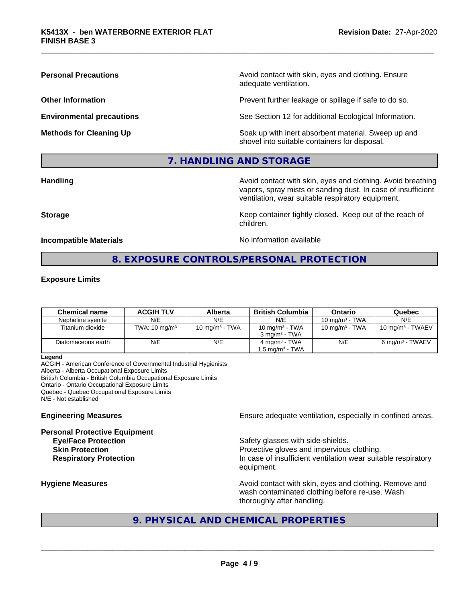**Personal Precautions Precautions** Avoid contact with skin, eyes and clothing. Ensure adequate ventilation.

**Other Information Other Information Prevent further leakage or spillage if safe to do so.** 

**Environmental precautions** See Section 12 for additional Ecological Information.

**Methods for Cleaning Up Example 20 All 20 All 20 All 20 Soak** up with inert absorbent material. Sweep up and shovel into suitable containers for disposal.

## **7. HANDLING AND STORAGE**

**Handling Handling Avoid contact with skin, eyes and clothing. Avoid breathing** vapors, spray mists or sanding dust. In case of insufficient ventilation, wear suitable respiratory equipment.

**Storage Keep container tightly closed. Keep out of the reach of Keep** container tightly closed. Keep out of the reach of

**Incompatible Materials** Noinformation available

# **8. EXPOSURE CONTROLS/PERSONAL PROTECTION**

children.

### **Exposure Limits**

| <b>Chemical name</b> | <b>ACGIH TLV</b>         | Alberta           | British Columbia            | Ontario           | Quebec                       |
|----------------------|--------------------------|-------------------|-----------------------------|-------------------|------------------------------|
| Nepheline svenite    | N/E                      | N/E               | N/E                         | 10 mg/m $3$ - TWA | N/E                          |
| Titanium dioxide     | TWA: $10 \text{ mg/m}^3$ | 10 mg/m $3$ - TWA | 10 mg/m $3$ - TWA           | 10 mg/m $3$ - TWA | 10 mg/m <sup>3</sup> - TWAEV |
|                      |                          |                   | $3 \text{ ma/m}^3$ - TWA    |                   |                              |
| Diatomaceous earth   | N/E                      | N/E               | $4 \text{ mg/m}^3$ - TWA    | N/E               | 6 mg/m <sup>3</sup> - TWAEV  |
|                      |                          |                   | 1.5 mg/m <sup>3</sup> - TWA |                   |                              |

**Legend**

ACGIH - American Conference of Governmental Industrial Hygienists Alberta - Alberta Occupational Exposure Limits British Columbia - British Columbia Occupational Exposure Limits Ontario - Ontario Occupational Exposure Limits Quebec - Quebec Occupational Exposure Limits N/E - Not established

**Personal Protective Equipment**

**Engineering Measures Ensure** Ensure adequate ventilation, especially in confined areas.

**Eve/Face Protection Safety glasses with side-shields. Skin Protection Protection Protective gloves and impervious clothing. Respiratory Protection In case of insufficient ventilation wear suitable respiratory** equipment.

**Hygiene Measures Avoid contact with skin, eyes and clothing. Remove and Avoid contact with skin, eyes and clothing. Remove and Avoid contact with skin, eyes and clothing. Remove and** wash contaminated clothing before re-use. Wash thoroughly after handling.

# **9. PHYSICAL AND CHEMICAL PROPERTIES**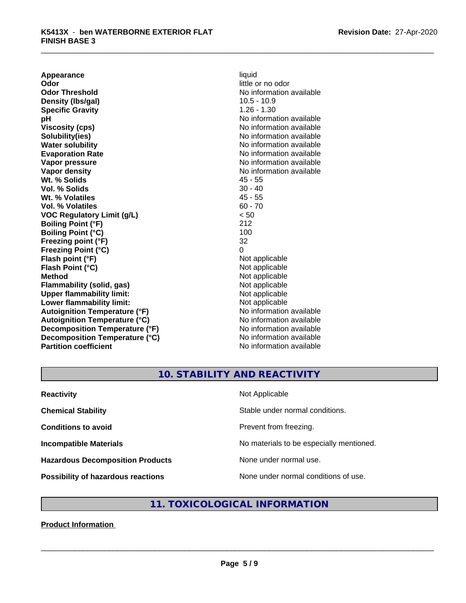**Appearance** liquid<br> **Odor** little c **Odor Threshold** No information available **Density (lbs/gal)** 10.5 - 10.9 **Specific Gravity** 1.26 - 1.30 **pH** No information available **Viscosity (cps)** No information available Notice 1, 1999 **Solubility(ies)** No information available in the solution of the solution of the solution available in the solution of the solution of the solution of the solution of the solution of the solution of the solution of the so **Water solubility** No information available **Evaporation Rate No information available No information available Vapor pressure** No information available **Vapor density**<br> **We Solids**<br>
We Solid Wi, % Solids
2019 **Wt. % Solids** 45 - 55<br> **Vol. % Solids** 30 - 40 **Vol. % Solids Wt. % Volatiles** 45 - 55 **Vol. % Volatiles** 60 - 70 **VOC Regulatory Limit (g/L)** < 50 **Boiling Point (°F)** 212 **Boiling Point (°C) Freezing point (°F)** 32 **Freezing Point (°C)** 0 **Flash point (°F)** Not applicable **Flash Point (°C)** Not applicable **Method** Not applicable<br> **Flammability (solid, gas)** Not applicable Not applicable **Flammability (solid, gas)** Not applicable<br> **Upper flammability limit:** Not applicable<br>
Not applicable **Upper flammability limit:**<br> **Lower flammability limit:**<br>
Not applicable<br>
Not applicable **Lower flammability limit:**<br> **Autoignition Temperature (°F)** Not applicable Not applicable available **Autoignition Temperature (°F) Autoignition Temperature (°C)** No information available **Decomposition Temperature (°F)** No information available **Decomposition Temperature (°C)** No information available **Partition coefficient** No information available

little or no odor

# **10. STABILITY AND REACTIVITY**

| <b>Reactivity</b>                         | Not Applicable                           |
|-------------------------------------------|------------------------------------------|
| <b>Chemical Stability</b>                 | Stable under normal conditions.          |
| <b>Conditions to avoid</b>                | Prevent from freezing.                   |
| <b>Incompatible Materials</b>             | No materials to be especially mentioned. |
| <b>Hazardous Decomposition Products</b>   | None under normal use.                   |
| <b>Possibility of hazardous reactions</b> | None under normal conditions of use.     |

# **11. TOXICOLOGICAL INFORMATION**

### **Product Information**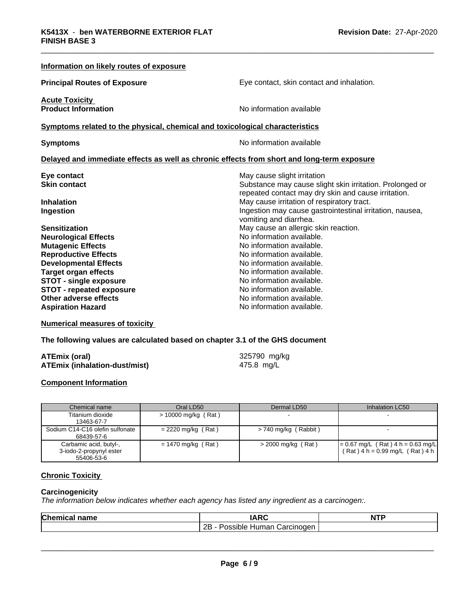| Information on likely routes of exposure                                                   |                                                          |
|--------------------------------------------------------------------------------------------|----------------------------------------------------------|
| <b>Principal Routes of Exposure</b>                                                        | Eye contact, skin contact and inhalation.                |
| <b>Acute Toxicity</b>                                                                      |                                                          |
| <b>Product Information</b>                                                                 | No information available                                 |
| Symptoms related to the physical, chemical and toxicological characteristics               |                                                          |
| <b>Symptoms</b>                                                                            | No information available                                 |
| Delayed and immediate effects as well as chronic effects from short and long-term exposure |                                                          |
| Eye contact                                                                                | May cause slight irritation                              |
| <b>Skin contact</b>                                                                        | Substance may cause slight skin irritation. Prolonged or |
|                                                                                            | repeated contact may dry skin and cause irritation.      |
| <b>Inhalation</b>                                                                          | May cause irritation of respiratory tract.               |
| Ingestion                                                                                  | Ingestion may cause gastrointestinal irritation, nausea, |
|                                                                                            | vomiting and diarrhea.                                   |
| <b>Sensitization</b>                                                                       | May cause an allergic skin reaction.                     |
| <b>Neurological Effects</b>                                                                | No information available.                                |
| <b>Mutagenic Effects</b>                                                                   | No information available.                                |
| <b>Reproductive Effects</b>                                                                | No information available.                                |
| <b>Developmental Effects</b>                                                               | No information available.                                |
| <b>Target organ effects</b>                                                                | No information available.                                |
| <b>STOT - single exposure</b>                                                              | No information available.                                |
| <b>STOT - repeated exposure</b>                                                            | No information available.                                |
| Other adverse effects                                                                      | No information available.                                |
| <b>Aspiration Hazard</b>                                                                   | No information available.                                |

**Numerical measures of toxicity**

**The following values are calculated based on chapter 3.1 of the GHS document**

| <b>ATEmix (oral)</b>                 | 325790 mg/kg |
|--------------------------------------|--------------|
| <b>ATEmix (inhalation-dust/mist)</b> | 475.8 mg/L   |

### **Component Information**

| Chemical name                                                   | Oral LD50             | Dermal LD50          | Inhalation LC50                                                            |
|-----------------------------------------------------------------|-----------------------|----------------------|----------------------------------------------------------------------------|
| Titanium dioxide<br>13463-67-7                                  | $> 10000$ mg/kg (Rat) |                      |                                                                            |
| Sodium C14-C16 olefin sulfonate<br>68439-57-6                   | $= 2220$ mg/kg (Rat)  | > 740 mg/kg (Rabbit) |                                                                            |
| Carbamic acid, butyl-,<br>3-iodo-2-propynyl ester<br>55406-53-6 | $= 1470$ mg/kg (Rat)  | $>$ 2000 mg/kg (Rat) | $= 0.67$ mg/L (Rat) 4 h = 0.63 mg/L<br>$(Rat)$ 4 h = 0.99 mg/L $(Rat)$ 4 h |

### **Chronic Toxicity**

### **Carcinogenicity**

*The information below indicateswhether each agency has listed any ingredient as a carcinogen:.*

| Chemic<br>name<br>.а. | 100                                                          | <b>NTP</b> |
|-----------------------|--------------------------------------------------------------|------------|
|                       | <br>ם ה<br>Carcinoden<br>ossible <sup>,</sup><br>Human∶<br>. |            |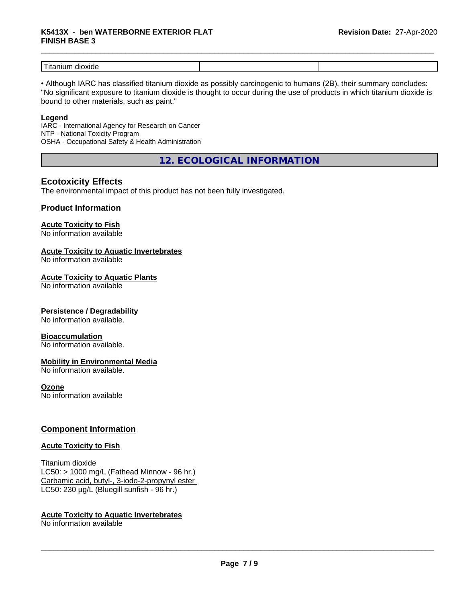# \_\_\_\_\_\_\_\_\_\_\_\_\_\_\_\_\_\_\_\_\_\_\_\_\_\_\_\_\_\_\_\_\_\_\_\_\_\_\_\_\_\_\_\_\_\_\_\_\_\_\_\_\_\_\_\_\_\_\_\_\_\_\_\_\_\_\_\_\_\_\_\_\_\_\_\_\_\_\_\_\_\_\_\_\_\_\_\_\_\_\_\_\_ **K5413X** - **ben WATERBORNE EXTERIOR FLAT FINISH BASE 3**

| $ -$<br>$-1$<br>l itanlun<br>ou<br>1 X I ( 1 6 |  |
|------------------------------------------------|--|

• Although IARC has classified titanium dioxide as possibly carcinogenic to humans (2B), their summary concludes: "No significant exposure to titanium dioxide is thought to occur during the use of products in which titanium dioxide is bound to other materials, such as paint."

### **Legend**

IARC - International Agency for Research on Cancer NTP - National Toxicity Program OSHA - Occupational Safety & Health Administration

**12. ECOLOGICAL INFORMATION**

## **Ecotoxicity Effects**

The environmental impact of this product has not been fully investigated.

### **Product Information**

# **Acute Toxicity to Fish**

No information available

### **Acute Toxicity to Aquatic Invertebrates**

No information available

### **Acute Toxicity to Aquatic Plants**

No information available

### **Persistence / Degradability**

No information available.

### **Bioaccumulation**

No information available.

### **Mobility in Environmental Media**

No information available.

### **Ozone**

No information available

### **Component Information**

### **Acute Toxicity to Fish**

Titanium dioxide  $LC50:$  > 1000 mg/L (Fathead Minnow - 96 hr.) Carbamic acid, butyl-, 3-iodo-2-propynyl ester LC50: 230 µg/L (Bluegill sunfish - 96 hr.)

### **Acute Toxicity to Aquatic Invertebrates**

No information available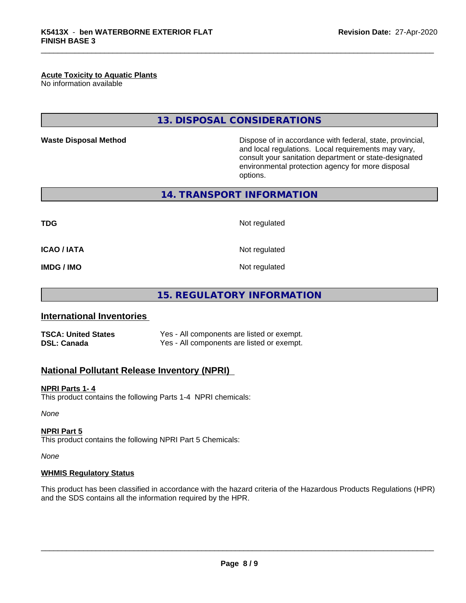### **Acute Toxicity to Aquatic Plants**

No information available

## **13. DISPOSAL CONSIDERATIONS**

**Waste Disposal Method Dispose of in accordance with federal, state, provincial,** and local regulations. Local requirements may vary, consult your sanitation department or state-designated environmental protection agency for more disposal options.

**14. TRANSPORT INFORMATION**

**TDG** Not regulated

**ICAO / IATA** Not regulated

**IMDG / IMO** Not regulated

**15. REGULATORY INFORMATION**

### **International Inventories**

**TSCA: United States** Yes - All components are listed or exempt. **DSL: Canada** Yes - All components are listed or exempt.

### **National Pollutant Release Inventory (NPRI)**

#### **NPRI Parts 1- 4**

This product contains the following Parts 1-4 NPRI chemicals:

*None*

### **NPRI Part 5**

This product contains the following NPRI Part 5 Chemicals:

*None*

### **WHMIS Regulatory Status**

This product has been classified in accordance with the hazard criteria of the Hazardous Products Regulations (HPR) and the SDS contains all the information required by the HPR.